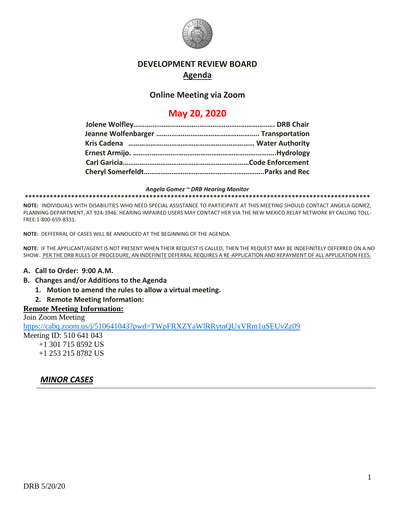

## **DEVELOPMENT REVIEW BOARD Agenda**

## **Online Meeting via Zoom**

# **May 20, 2020**

*Angela Gomez ~ DRB Hearing Monitor*

**\*\*\*\*\*\*\*\*\*\*\*\*\*\*\*\*\*\*\*\*\*\*\*\*\*\*\*\*\*\*\*\*\*\*\*\*\*\*\*\*\*\*\*\*\*\*\*\*\*\*\*\*\*\*\*\*\*\*\*\*\*\*\*\*\*\*\*\*\*\*\*\*\*\*\*\*\*\*\*\*\*\*\*\*\*\*\*\*\*\*\*\*\*\*\*\*\***

**NOTE:** INDIVIDUALS WITH DISABILITIES WHO NEED SPECIAL ASSISTANCE TO PARTICIPATE AT THIS MEETING SHOULD CONTACT ANGELA GOMEZ, PLANNING DEPARTMENT, AT 924-3946. HEARING IMPAIRED USERS MAY CONTACT HER VIA THE NEW MEXICO RELAY NETWORK BY CALLING TOLL-FREE:1-800-659-8331.

**NOTE:** DEFFERRAL OF CASES WILL BE ANNOUCED AT THE BEGINNING OF THE AGENDA.

**NOTE:** IF THE APPLICANT/AGENT IS NOT PRESENT WHEN THEIR REQUEST IS CALLED, THEN THE REQUEST MAY BE INDEFINITELY DEFERRED ON A NO SHOW. PER THE DRB RULES OF PROCEDURE, AN INDEFINITE DEFERRAL REQUIRES A RE-APPLICATION AND REPAYMENT OF ALL APPLICATION FEES.

### **A. Call to Order: 9:00 A.M.**

#### **B. Changes and/or Additions to the Agenda**

- **1. Motion to amend the rules to allow a virtual meeting.**
- **2. Remote Meeting Information:**

### **Remote Meeting Information:**

Join Zoom Meeting

<https://cabq.zoom.us/j/510641043?pwd=TWpFRXZYaWlRRytnQUxVRm1uSEUvZz09> Meeting ID: 510 641 043 +1 301 715 8592 US

+1 253 215 8782 US

## *MINOR CASES*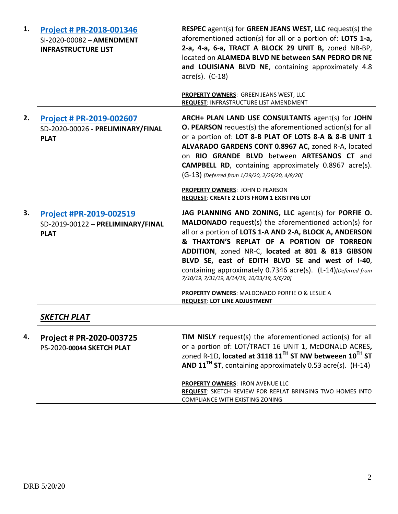| 1. | Project # PR-2018-001346<br>SI-2020-00082 - AMENDMENT<br><b>INFRASTRUCTURE LIST</b> | RESPEC agent(s) for GREEN JEANS WEST, LLC request(s) the<br>aforementioned action(s) for all or a portion of: LOTS 1-a,<br>2-a, 4-a, 6-a, TRACT A BLOCK 29 UNIT B, zoned NR-BP,<br>located on ALAMEDA BLVD NE between SAN PEDRO DR NE<br>and LOUISIANA BLVD NE, containing approximately 4.8<br>$\arccos 0$ . (C-18)                                                                                                                                    |
|----|-------------------------------------------------------------------------------------|---------------------------------------------------------------------------------------------------------------------------------------------------------------------------------------------------------------------------------------------------------------------------------------------------------------------------------------------------------------------------------------------------------------------------------------------------------|
|    |                                                                                     | PROPERTY OWNERS: GREEN JEANS WEST, LLC<br>REQUEST: INFRASTRUCTURE LIST AMENDMENT                                                                                                                                                                                                                                                                                                                                                                        |
| 2. | Project # PR-2019-002607<br>SD-2020-00026 - PRELIMINARY/FINAL<br><b>PLAT</b>        | ARCH+ PLAN LAND USE CONSULTANTS agent(s) for JOHN<br><b>O. PEARSON</b> request(s) the aforementioned action(s) for all<br>or a portion of: LOT 8-B PLAT OF LOTS 8-A & 8-B UNIT 1<br>ALVARADO GARDENS CONT 0.8967 AC, zoned R-A, located<br>on RIO GRANDE BLVD between ARTESANOS CT and<br><b>CAMPBELL RD</b> , containing approximately 0.8967 acre(s).<br>(G-13) [Deferred from 1/29/20, 2/26/20, 4/8/20]                                              |
|    |                                                                                     | <b>PROPERTY OWNERS: JOHN D PEARSON</b><br>REQUEST: CREATE 2 LOTS FROM 1 EXISTING LOT                                                                                                                                                                                                                                                                                                                                                                    |
| 3. | Project #PR-2019-002519<br>SD-2019-00122 - PRELIMINARY/FINAL<br><b>PLAT</b>         | JAG PLANNING AND ZONING, LLC agent(s) for PORFIE O.<br><b>MALDONADO</b> request(s) the aforementioned action(s) for<br>all or a portion of LOTS 1-A AND 2-A, BLOCK A, ANDERSON<br>& THAXTON'S REPLAT OF A PORTION OF TORREON<br>ADDITION, zoned NR-C, located at 801 & 813 GIBSON<br>BLVD SE, east of EDITH BLVD SE and west of I-40,<br>containing approximately 0.7346 acre(s). (L-14) [Deferred from<br>7/10/19, 7/31/19, 8/14/19, 10/23/19, 5/6/20] |
|    |                                                                                     | PROPERTY OWNERS: MALDONADO PORFIE O & LESLIE A<br><b>REQUEST: LOT LINE ADJUSTMENT</b>                                                                                                                                                                                                                                                                                                                                                                   |
|    | SKETCH PLAT                                                                         |                                                                                                                                                                                                                                                                                                                                                                                                                                                         |
| 4. | Project # PR-2020-003725<br>PS-2020-00044 SKETCH PLAT                               | TIM NISLY request(s) the aforementioned action(s) for all<br>or a portion of: LOT/TRACT 16 UNIT 1, McDONALD ACRES,<br>zoned R-1D, located at 3118 11 <sup>TH</sup> ST NW betweeen 10TH ST<br>AND $11^{TH}$ ST, containing approximately 0.53 acre(s). (H-14)                                                                                                                                                                                            |
|    |                                                                                     | PROPERTY OWNERS: IRON AVENUE LLC<br>REQUEST: SKETCH REVIEW FOR REPLAT BRINGING TWO HOMES INTO<br>COMPLIANCE WITH EXISTING ZONING                                                                                                                                                                                                                                                                                                                        |